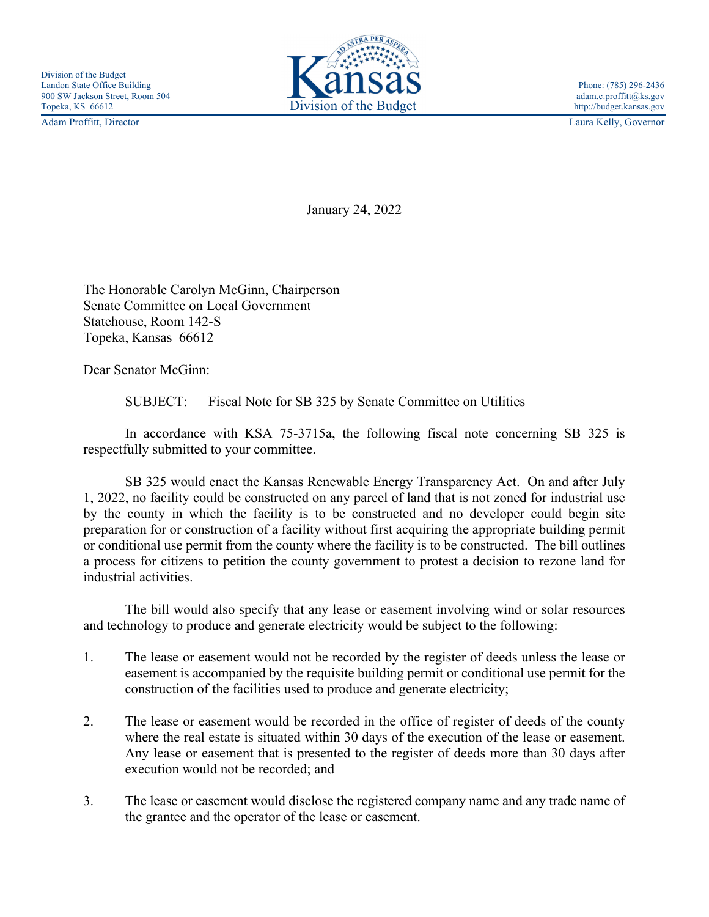

Adam Proffitt, Director Laura Kelly, Governor

January 24, 2022

The Honorable Carolyn McGinn, Chairperson Senate Committee on Local Government Statehouse, Room 142-S Topeka, Kansas 66612

Dear Senator McGinn:

SUBJECT: Fiscal Note for SB 325 by Senate Committee on Utilities

 In accordance with KSA 75-3715a, the following fiscal note concerning SB 325 is respectfully submitted to your committee.

 SB 325 would enact the Kansas Renewable Energy Transparency Act. On and after July 1, 2022, no facility could be constructed on any parcel of land that is not zoned for industrial use by the county in which the facility is to be constructed and no developer could begin site preparation for or construction of a facility without first acquiring the appropriate building permit or conditional use permit from the county where the facility is to be constructed. The bill outlines a process for citizens to petition the county government to protest a decision to rezone land for industrial activities.

 The bill would also specify that any lease or easement involving wind or solar resources and technology to produce and generate electricity would be subject to the following:

- 1. The lease or easement would not be recorded by the register of deeds unless the lease or easement is accompanied by the requisite building permit or conditional use permit for the construction of the facilities used to produce and generate electricity;
- 2. The lease or easement would be recorded in the office of register of deeds of the county where the real estate is situated within 30 days of the execution of the lease or easement. Any lease or easement that is presented to the register of deeds more than 30 days after execution would not be recorded; and
- 3. The lease or easement would disclose the registered company name and any trade name of the grantee and the operator of the lease or easement.